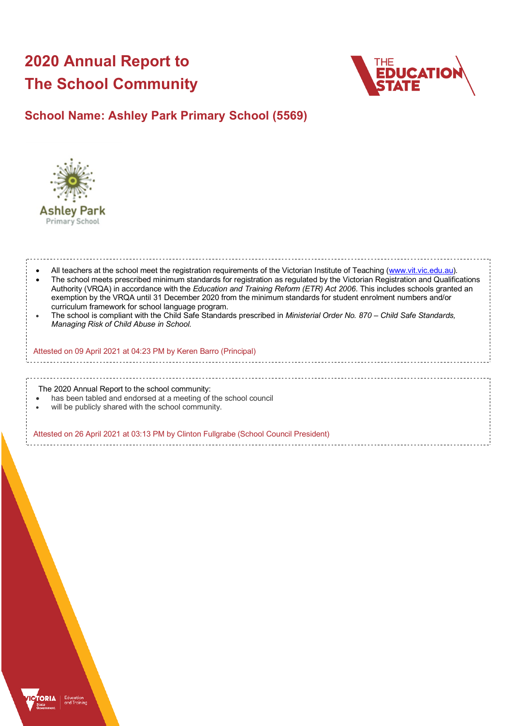# **2020 Annual Report to The School Community**



## **School Name: Ashley Park Primary School (5569)**



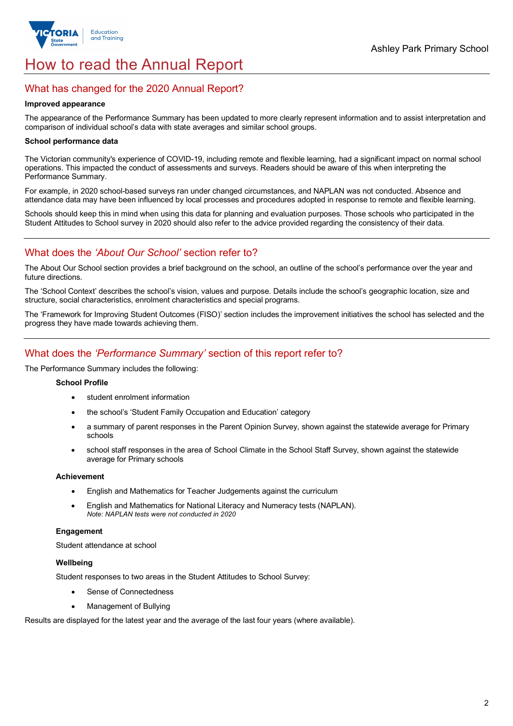

## How to read the Annual Report

## What has changed for the 2020 Annual Report?

#### **Improved appearance**

The appearance of the Performance Summary has been updated to more clearly represent information and to assist interpretation and comparison of individual school's data with state averages and similar school groups.

#### **School performance data**

The Victorian community's experience of COVID-19, including remote and flexible learning, had a significant impact on normal school operations. This impacted the conduct of assessments and surveys. Readers should be aware of this when interpreting the Performance Summary.

For example, in 2020 school-based surveys ran under changed circumstances, and NAPLAN was not conducted. Absence and attendance data may have been influenced by local processes and procedures adopted in response to remote and flexible learning.

Schools should keep this in mind when using this data for planning and evaluation purposes. Those schools who participated in the Student Attitudes to School survey in 2020 should also refer to the advice provided regarding the consistency of their data.

## What does the *'About Our School'* section refer to?

The About Our School section provides a brief background on the school, an outline of the school's performance over the year and future directions.

The 'School Context' describes the school's vision, values and purpose. Details include the school's geographic location, size and structure, social characteristics, enrolment characteristics and special programs.

The 'Framework for Improving Student Outcomes (FISO)' section includes the improvement initiatives the school has selected and the progress they have made towards achieving them.

## What does the *'Performance Summary'* section of this report refer to?

The Performance Summary includes the following:

#### **School Profile**

- student enrolment information
- the school's 'Student Family Occupation and Education' category
- a summary of parent responses in the Parent Opinion Survey, shown against the statewide average for Primary schools
- school staff responses in the area of School Climate in the School Staff Survey, shown against the statewide average for Primary schools

#### **Achievement**

- English and Mathematics for Teacher Judgements against the curriculum
- English and Mathematics for National Literacy and Numeracy tests (NAPLAN). *Note: NAPLAN tests were not conducted in 2020*

#### **Engagement**

Student attendance at school

#### **Wellbeing**

Student responses to two areas in the Student Attitudes to School Survey:

- Sense of Connectedness
- Management of Bullying

Results are displayed for the latest year and the average of the last four years (where available).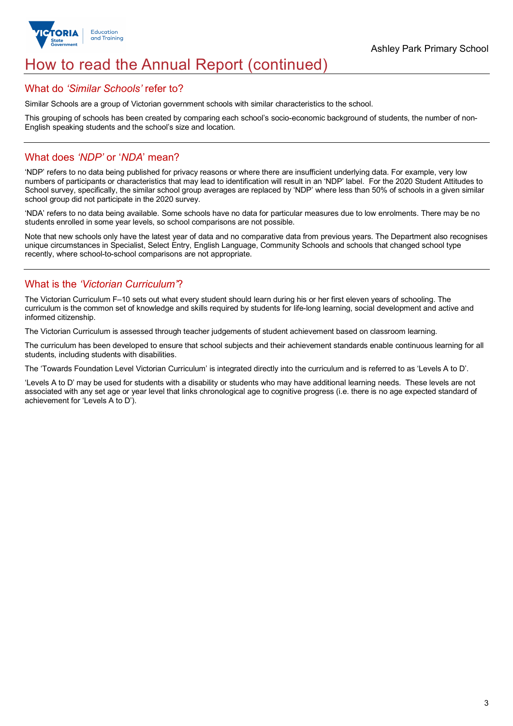

## How to read the Annual Report (continued)

## What do *'Similar Schools'* refer to?

Similar Schools are a group of Victorian government schools with similar characteristics to the school.

This grouping of schools has been created by comparing each school's socio-economic background of students, the number of non-English speaking students and the school's size and location.

## What does *'NDP'* or '*NDA*' mean?

'NDP' refers to no data being published for privacy reasons or where there are insufficient underlying data. For example, very low numbers of participants or characteristics that may lead to identification will result in an 'NDP' label. For the 2020 Student Attitudes to School survey, specifically, the similar school group averages are replaced by 'NDP' where less than 50% of schools in a given similar school group did not participate in the 2020 survey.

'NDA' refers to no data being available. Some schools have no data for particular measures due to low enrolments. There may be no students enrolled in some year levels, so school comparisons are not possible.

Note that new schools only have the latest year of data and no comparative data from previous years. The Department also recognises unique circumstances in Specialist, Select Entry, English Language, Community Schools and schools that changed school type recently, where school-to-school comparisons are not appropriate.

## What is the *'Victorian Curriculum'*?

The Victorian Curriculum F–10 sets out what every student should learn during his or her first eleven years of schooling. The curriculum is the common set of knowledge and skills required by students for life-long learning, social development and active and informed citizenship.

The Victorian Curriculum is assessed through teacher judgements of student achievement based on classroom learning.

The curriculum has been developed to ensure that school subjects and their achievement standards enable continuous learning for all students, including students with disabilities.

The 'Towards Foundation Level Victorian Curriculum' is integrated directly into the curriculum and is referred to as 'Levels A to D'.

'Levels A to D' may be used for students with a disability or students who may have additional learning needs. These levels are not associated with any set age or year level that links chronological age to cognitive progress (i.e. there is no age expected standard of achievement for 'Levels A to D').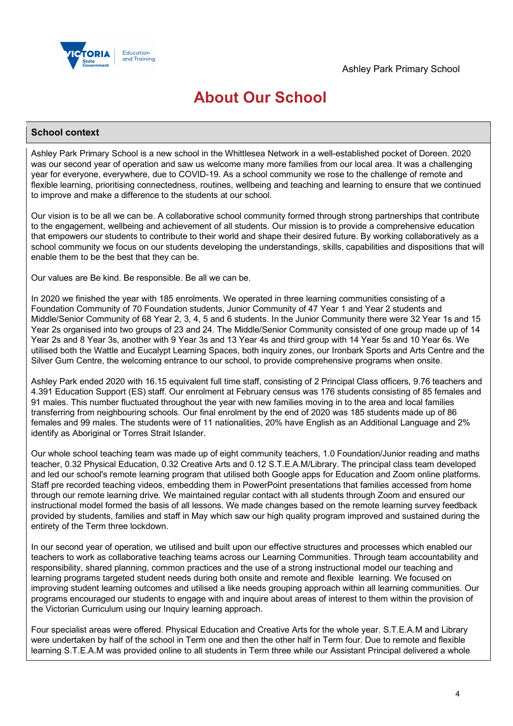

## **About Our School**

### **School context**

Ashley Park Primary School is a new school in the Whittlesea Network in a well-established pocket of Doreen. 2020 was our second year of operation and saw us welcome many more families from our local area. It was a challenging year for everyone, everywhere, due to COVID-19. As a school community we rose to the challenge of remote and flexible learning, prioritising connectedness, routines, wellbeing and teaching and learning to ensure that we continued to improve and make a difference to the students at our school.

Our vision is to be all we can be. A collaborative school community formed through strong partnerships that contribute to the engagement, wellbeing and achievement of all students. Our mission is to provide a comprehensive education that empowers our students to contribute to their world and shape their desired future. By working collaboratively as a school community we focus on our students developing the understandings, skills, capabilities and dispositions that will enable them to be the best that they can be.

Our values are Be kind. Be responsible. Be all we can be.

In 2020 we finished the year with 185 enrolments. We operated in three learning communities consisting of a Foundation Community of 70 Foundation students, Junior Community of 47 Year 1 and Year 2 students and Middle/Senior Community of 68 Year 2, 3, 4, 5 and 6 students. In the Junior Community there were 32 Year 1s and 15 Year 2s organised into two groups of 23 and 24. The Middle/Senior Community consisted of one group made up of 14 Year 2s and 8 Year 3s, another with 9 Year 3s and 13 Year 4s and third group with 14 Year 5s and 10 Year 6s. We utilised both the Wattle and Eucalypt Learning Spaces, both inquiry zones, our Ironbark Sports and Arts Centre and the Silver Gum Centre, the welcoming entrance to our school, to provide comprehensive programs when onsite.

Ashley Park ended 2020 with 16.15 equivalent full time staff, consisting of 2 Principal Class officers, 9.76 teachers and 4.391 Education Support (ES) staff. Our enrolment at February census was 176 students consisting of 85 females and 91 males. This number fluctuated throughout the year with new families moving in to the area and local families transferring from neighbouring schools. Our final enrolment by the end of 2020 was 185 students made up of 86 females and 99 males. The students were of 11 nationalities, 20% have English as an Additional Language and 2% identify as Aboriginal or Torres Strait Islander.

Our whole school teaching team was made up of eight community teachers, 1.0 Foundation/Junior reading and maths teacher, 0.32 Physical Education, 0.32 Creative Arts and 0.12 S.T.E.A.M/Library. The principal class team developed and led our school's remote learning program that utilised both Google apps for Education and Zoom online platforms. Staff pre recorded teaching videos, embedding them in PowerPoint presentations that families accessed from home through our remote learning drive. We maintained regular contact with all students through Zoom and ensured our instructional model formed the basis of all lessons. We made changes based on the remote learning survey feedback provided by students, families and staff in May which saw our high quality program improved and sustained during the entirety of the Term three lockdown.

In our second year of operation, we utilised and built upon our effective structures and processes which enabled our teachers to work as collaborative teaching teams across our Learning Communities. Through team accountability and responsibility, shared planning, common practices and the use of a strong instructional model our teaching and learning programs targeted student needs during both onsite and remote and flexible learning. We focused on improving student learning outcomes and utilised a like needs grouping approach within all learning communities. Our programs encouraged our students to engage with and inquire about areas of interest to them within the provision of the Victorian Curriculum using our Inquiry learning approach.

Four specialist areas were offered. Physical Education and Creative Arts for the whole year. S.T.E.A.M and Library were undertaken by half of the school in Term one and then the other half in Term four. Due to remote and flexible learning S.T.E.A.M was provided online to all students in Term three while our Assistant Principal delivered a whole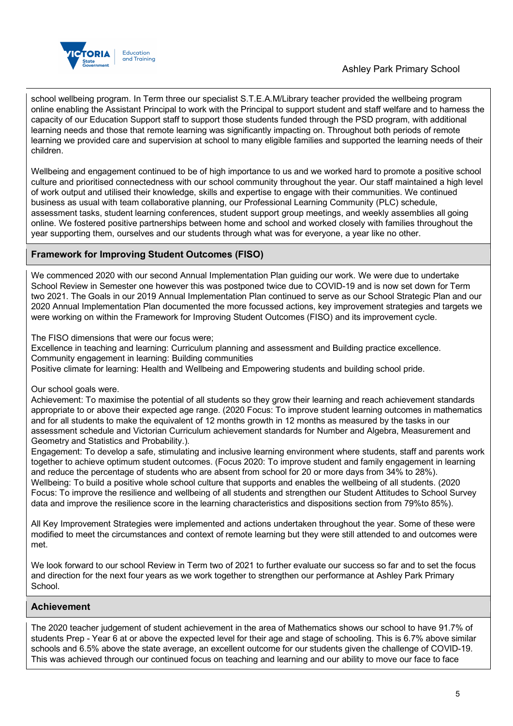

school wellbeing program. In Term three our specialist S.T.E.A.M/Library teacher provided the wellbeing program online enabling the Assistant Principal to work with the Principal to support student and staff welfare and to harness the capacity of our Education Support staff to support those students funded through the PSD program, with additional learning needs and those that remote learning was significantly impacting on. Throughout both periods of remote learning we provided care and supervision at school to many eligible families and supported the learning needs of their children.

Wellbeing and engagement continued to be of high importance to us and we worked hard to promote a positive school culture and prioritised connectedness with our school community throughout the year. Our staff maintained a high level of work output and utilised their knowledge, skills and expertise to engage with their communities. We continued business as usual with team collaborative planning, our Professional Learning Community (PLC) schedule, assessment tasks, student learning conferences, student support group meetings, and weekly assemblies all going online. We fostered positive partnerships between home and school and worked closely with families throughout the year supporting them, ourselves and our students through what was for everyone, a year like no other.

## **Framework for Improving Student Outcomes (FISO)**

We commenced 2020 with our second Annual Implementation Plan guiding our work. We were due to undertake School Review in Semester one however this was postponed twice due to COVID-19 and is now set down for Term two 2021. The Goals in our 2019 Annual Implementation Plan continued to serve as our School Strategic Plan and our 2020 Annual Implementation Plan documented the more focussed actions, key improvement strategies and targets we were working on within the Framework for Improving Student Outcomes (FISO) and its improvement cycle.

The FISO dimensions that were our focus were;

Excellence in teaching and learning: Curriculum planning and assessment and Building practice excellence. Community engagement in learning: Building communities

Positive climate for learning: Health and Wellbeing and Empowering students and building school pride.

### Our school goals were.

Achievement: To maximise the potential of all students so they grow their learning and reach achievement standards appropriate to or above their expected age range. (2020 Focus: To improve student learning outcomes in mathematics and for all students to make the equivalent of 12 months growth in 12 months as measured by the tasks in our assessment schedule and Victorian Curriculum achievement standards for Number and Algebra, Measurement and Geometry and Statistics and Probability.).

Engagement: To develop a safe, stimulating and inclusive learning environment where students, staff and parents work together to achieve optimum student outcomes. (Focus 2020: To improve student and family engagement in learning and reduce the percentage of students who are absent from school for 20 or more days from 34% to 28%). Wellbeing: To build a positive whole school culture that supports and enables the wellbeing of all students. (2020 Focus: To improve the resilience and wellbeing of all students and strengthen our Student Attitudes to School Survey data and improve the resilience score in the learning characteristics and dispositions section from 79%to 85%).

All Key Improvement Strategies were implemented and actions undertaken throughout the year. Some of these were modified to meet the circumstances and context of remote learning but they were still attended to and outcomes were met.

We look forward to our school Review in Term two of 2021 to further evaluate our success so far and to set the focus and direction for the next four years as we work together to strengthen our performance at Ashley Park Primary School.

## **Achievement**

The 2020 teacher judgement of student achievement in the area of Mathematics shows our school to have 91.7% of students Prep - Year 6 at or above the expected level for their age and stage of schooling. This is 6.7% above similar schools and 6.5% above the state average, an excellent outcome for our students given the challenge of COVID-19. This was achieved through our continued focus on teaching and learning and our ability to move our face to face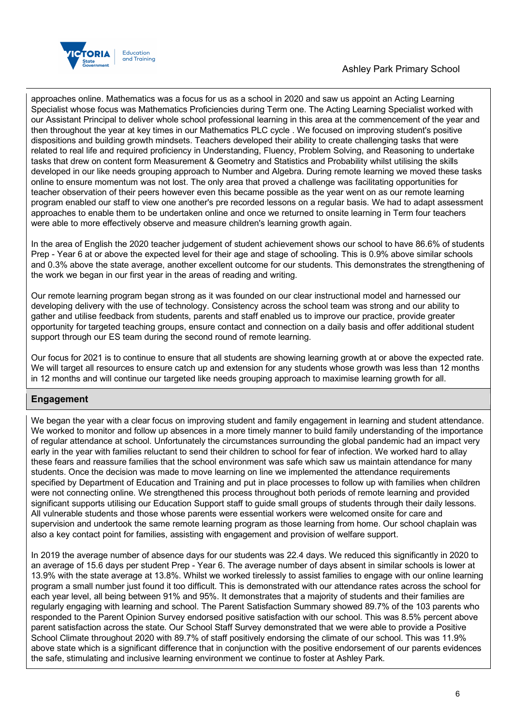



approaches online. Mathematics was a focus for us as a school in 2020 and saw us appoint an Acting Learning Specialist whose focus was Mathematics Proficiencies during Term one. The Acting Learning Specialist worked with our Assistant Principal to deliver whole school professional learning in this area at the commencement of the year and then throughout the year at key times in our Mathematics PLC cycle . We focused on improving student's positive dispositions and building growth mindsets. Teachers developed their ability to create challenging tasks that were related to real life and required proficiency in Understanding, Fluency, Problem Solving, and Reasoning to undertake tasks that drew on content form Measurement & Geometry and Statistics and Probability whilst utilising the skills developed in our like needs grouping approach to Number and Algebra. During remote learning we moved these tasks online to ensure momentum was not lost. The only area that proved a challenge was facilitating opportunities for teacher observation of their peers however even this became possible as the year went on as our remote learning program enabled our staff to view one another's pre recorded lessons on a regular basis. We had to adapt assessment approaches to enable them to be undertaken online and once we returned to onsite learning in Term four teachers were able to more effectively observe and measure children's learning growth again.

In the area of English the 2020 teacher judgement of student achievement shows our school to have 86.6% of students Prep - Year 6 at or above the expected level for their age and stage of schooling. This is 0.9% above similar schools and 0.3% above the state average, another excellent outcome for our students. This demonstrates the strengthening of the work we began in our first year in the areas of reading and writing.

Our remote learning program began strong as it was founded on our clear instructional model and harnessed our developing delivery with the use of technology. Consistency across the school team was strong and our ability to gather and utilise feedback from students, parents and staff enabled us to improve our practice, provide greater opportunity for targeted teaching groups, ensure contact and connection on a daily basis and offer additional student support through our ES team during the second round of remote learning.

Our focus for 2021 is to continue to ensure that all students are showing learning growth at or above the expected rate. We will target all resources to ensure catch up and extension for any students whose growth was less than 12 months in 12 months and will continue our targeted like needs grouping approach to maximise learning growth for all.

## **Engagement**

We began the year with a clear focus on improving student and family engagement in learning and student attendance. We worked to monitor and follow up absences in a more timely manner to build family understanding of the importance of regular attendance at school. Unfortunately the circumstances surrounding the global pandemic had an impact very early in the year with families reluctant to send their children to school for fear of infection. We worked hard to allay these fears and reassure families that the school environment was safe which saw us maintain attendance for many students. Once the decision was made to move learning on line we implemented the attendance requirements specified by Department of Education and Training and put in place processes to follow up with families when children were not connecting online. We strengthened this process throughout both periods of remote learning and provided significant supports utilising our Education Support staff to guide small groups of students through their daily lessons. All vulnerable students and those whose parents were essential workers were welcomed onsite for care and supervision and undertook the same remote learning program as those learning from home. Our school chaplain was also a key contact point for families, assisting with engagement and provision of welfare support.

In 2019 the average number of absence days for our students was 22.4 days. We reduced this significantly in 2020 to an average of 15.6 days per student Prep - Year 6. The average number of days absent in similar schools is lower at 13.9% with the state average at 13.8%. Whilst we worked tirelessly to assist families to engage with our online learning program a small number just found it too difficult. This is demonstrated with our attendance rates across the school for each year level, all being between 91% and 95%. It demonstrates that a majority of students and their families are regularly engaging with learning and school. The Parent Satisfaction Summary showed 89.7% of the 103 parents who responded to the Parent Opinion Survey endorsed positive satisfaction with our school. This was 8.5% percent above parent satisfaction across the state. Our School Staff Survey demonstrated that we were able to provide a Positive School Climate throughout 2020 with 89.7% of staff positively endorsing the climate of our school. This was 11.9% above state which is a significant difference that in conjunction with the positive endorsement of our parents evidences the safe, stimulating and inclusive learning environment we continue to foster at Ashley Park.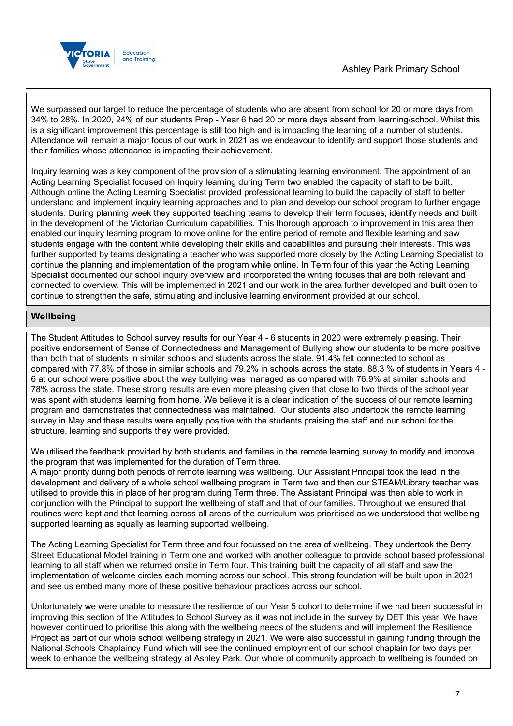

We surpassed our target to reduce the percentage of students who are absent from school for 20 or more days from 34% to 28%. In 2020, 24% of our students Prep - Year 6 had 20 or more days absent from learning/school. Whilst this is a significant improvement this percentage is still too high and is impacting the learning of a number of students. Attendance will remain a major focus of our work in 2021 as we endeavour to identify and support those students and their families whose attendance is impacting their achievement.

Inquiry learning was a key component of the provision of a stimulating learning environment. The appointment of an Acting Learning Specialist focused on Inquiry learning during Term two enabled the capacity of staff to be built. Although online the Acting Learning Specialist provided professional learning to build the capacity of staff to better understand and implement inquiry learning approaches and to plan and develop our school program to further engage students. During planning week they supported teaching teams to develop their term focuses, identify needs and built in the development of the Victorian Curriculum capabilities. This thorough approach to improvement in this area then enabled our inquiry learning program to move online for the entire period of remote and flexible learning and saw students engage with the content while developing their skills and capabilities and pursuing their interests. This was further supported by teams designating a teacher who was supported more closely by the Acting Learning Specialist to continue the planning and implementation of the program while online. In Term four of this year the Acting Learning Specialist documented our school inquiry overview and incorporated the writing focuses that are both relevant and connected to overview. This will be implemented in 2021 and our work in the area further developed and built open to continue to strengthen the safe, stimulating and inclusive learning environment provided at our school.

## **Wellbeing**

The Student Attitudes to School survey results for our Year 4 - 6 students in 2020 were extremely pleasing. Their positive endorsement of Sense of Connectedness and Management of Bullying show our students to be more positive than both that of students in similar schools and students across the state. 91.4% felt connected to school as compared with 77.8% of those in similar schools and 79.2% in schools across the state. 88.3 % of students in Years 4 - 6 at our school were positive about the way bullying was managed as compared with 76.9% at similar schools and 78% across the state. These strong results are even more pleasing given that close to two thirds of the school year was spent with students learning from home. We believe it is a clear indication of the success of our remote learning program and demonstrates that connectedness was maintained. Our students also undertook the remote learning survey in May and these results were equally positive with the students praising the staff and our school for the structure, learning and supports they were provided.

We utilised the feedback provided by both students and families in the remote learning survey to modify and improve the program that was implemented for the duration of Term three.

A major priority during both periods of remote learning was wellbeing. Our Assistant Principal took the lead in the development and delivery of a whole school wellbeing program in Term two and then our STEAM/Library teacher was utilised to provide this in place of her program during Term three. The Assistant Principal was then able to work in conjunction with the Principal to support the wellbeing of staff and that of our families. Throughout we ensured that routines were kept and that learning across all areas of the curriculum was prioritised as we understood that wellbeing supported learning as equally as learning supported wellbeing.

The Acting Learning Specialist for Term three and four focussed on the area of wellbeing. They undertook the Berry Street Educational Model training in Term one and worked with another colleague to provide school based professional learning to all staff when we returned onsite in Term four. This training built the capacity of all staff and saw the implementation of welcome circles each morning across our school. This strong foundation will be built upon in 2021 and see us embed many more of these positive behaviour practices across our school.

Unfortunately we were unable to measure the resilience of our Year 5 cohort to determine if we had been successful in improving this section of the Attitudes to School Survey as it was not include in the survey by DET this year. We have however continued to prioritise this along with the wellbeing needs of the students and will implement the Resilience Project as part of our whole school wellbeing strategy in 2021. We were also successful in gaining funding through the National Schools Chaplaincy Fund which will see the continued employment of our school chaplain for two days per week to enhance the wellbeing strategy at Ashley Park. Our whole of community approach to wellbeing is founded on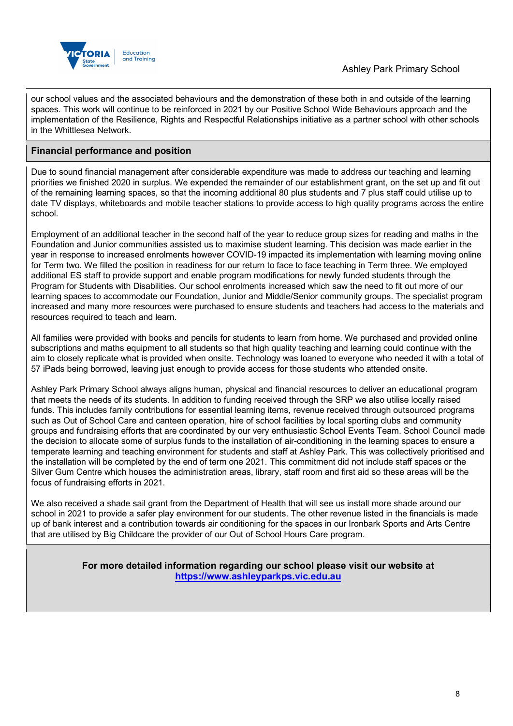

our school values and the associated behaviours and the demonstration of these both in and outside of the learning spaces. This work will continue to be reinforced in 2021 by our Positive School Wide Behaviours approach and the implementation of the Resilience, Rights and Respectful Relationships initiative as a partner school with other schools in the Whittlesea Network.

## **Financial performance and position**

Due to sound financial management after considerable expenditure was made to address our teaching and learning priorities we finished 2020 in surplus. We expended the remainder of our establishment grant, on the set up and fit out of the remaining learning spaces, so that the incoming additional 80 plus students and 7 plus staff could utilise up to date TV displays, whiteboards and mobile teacher stations to provide access to high quality programs across the entire school.

Employment of an additional teacher in the second half of the year to reduce group sizes for reading and maths in the Foundation and Junior communities assisted us to maximise student learning. This decision was made earlier in the year in response to increased enrolments however COVID-19 impacted its implementation with learning moving online for Term two. We filled the position in readiness for our return to face to face teaching in Term three. We employed additional ES staff to provide support and enable program modifications for newly funded students through the Program for Students with Disabilities. Our school enrolments increased which saw the need to fit out more of our learning spaces to accommodate our Foundation, Junior and Middle/Senior community groups. The specialist program increased and many more resources were purchased to ensure students and teachers had access to the materials and resources required to teach and learn.

All families were provided with books and pencils for students to learn from home. We purchased and provided online subscriptions and maths equipment to all students so that high quality teaching and learning could continue with the aim to closely replicate what is provided when onsite. Technology was loaned to everyone who needed it with a total of 57 iPads being borrowed, leaving just enough to provide access for those students who attended onsite.

Ashley Park Primary School always aligns human, physical and financial resources to deliver an educational program that meets the needs of its students. In addition to funding received through the SRP we also utilise locally raised funds. This includes family contributions for essential learning items, revenue received through outsourced programs such as Out of School Care and canteen operation, hire of school facilities by local sporting clubs and community groups and fundraising efforts that are coordinated by our very enthusiastic School Events Team. School Council made the decision to allocate some of surplus funds to the installation of air-conditioning in the learning spaces to ensure a temperate learning and teaching environment for students and staff at Ashley Park. This was collectively prioritised and the installation will be completed by the end of term one 2021. This commitment did not include staff spaces or the Silver Gum Centre which houses the administration areas, library, staff room and first aid so these areas will be the focus of fundraising efforts in 2021.

We also received a shade sail grant from the Department of Health that will see us install more shade around our school in 2021 to provide a safer play environment for our students. The other revenue listed in the financials is made up of bank interest and a contribution towards air conditioning for the spaces in our Ironbark Sports and Arts Centre that are utilised by Big Childcare the provider of our Out of School Hours Care program.

> **For more detailed information regarding our school please visit our website at https://www.ashleyparkps.vic.edu.au**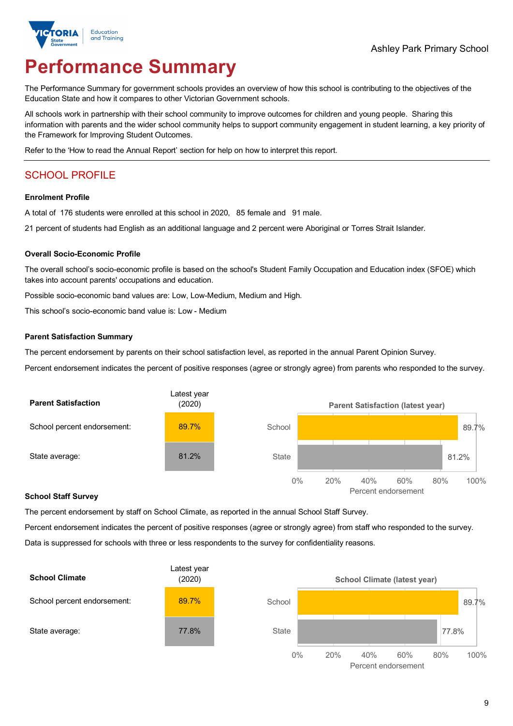

# **Performance Summary**

The Performance Summary for government schools provides an overview of how this school is contributing to the objectives of the Education State and how it compares to other Victorian Government schools.

All schools work in partnership with their school community to improve outcomes for children and young people. Sharing this information with parents and the wider school community helps to support community engagement in student learning, a key priority of the Framework for Improving Student Outcomes.

Refer to the 'How to read the Annual Report' section for help on how to interpret this report.

## SCHOOL PROFILE

#### **Enrolment Profile**

A total of 176 students were enrolled at this school in 2020, 85 female and 91 male.

21 percent of students had English as an additional language and 2 percent were Aboriginal or Torres Strait Islander.

#### **Overall Socio-Economic Profile**

The overall school's socio-economic profile is based on the school's Student Family Occupation and Education index (SFOE) which takes into account parents' occupations and education.

Possible socio-economic band values are: Low, Low-Medium, Medium and High.

This school's socio-economic band value is: Low - Medium

#### **Parent Satisfaction Summary**

The percent endorsement by parents on their school satisfaction level, as reported in the annual Parent Opinion Survey.

Percent endorsement indicates the percent of positive responses (agree or strongly agree) from parents who responded to the survey.



#### **School Staff Survey**

The percent endorsement by staff on School Climate, as reported in the annual School Staff Survey.

Percent endorsement indicates the percent of positive responses (agree or strongly agree) from staff who responded to the survey. Data is suppressed for schools with three or less respondents to the survey for confidentiality reasons.

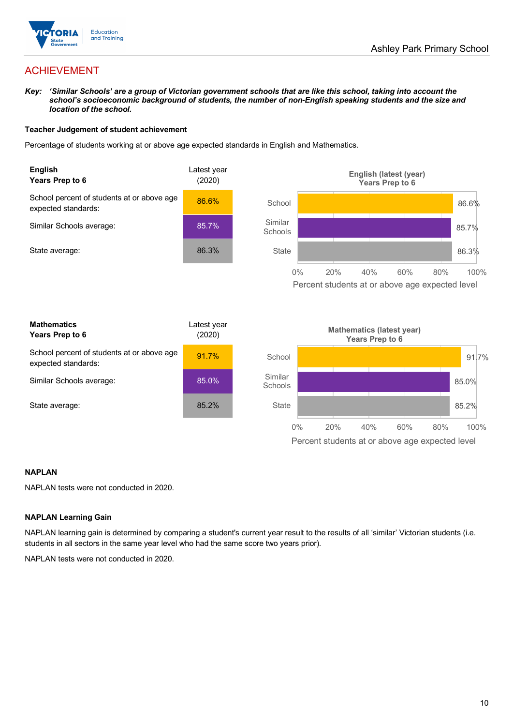

## ACHIEVEMENT

*Key: 'Similar Schools' are a group of Victorian government schools that are like this school, taking into account the*  school's socioeconomic background of students, the number of non-English speaking students and the size and *location of the school.*

#### **Teacher Judgement of student achievement**

Percentage of students working at or above age expected standards in English and Mathematics.



0% 20% 40% 60% 80% 100% Percent students at or above age expected level

#### **NAPLAN**

NAPLAN tests were not conducted in 2020.

#### **NAPLAN Learning Gain**

NAPLAN learning gain is determined by comparing a student's current year result to the results of all 'similar' Victorian students (i.e. students in all sectors in the same year level who had the same score two years prior).

NAPLAN tests were not conducted in 2020.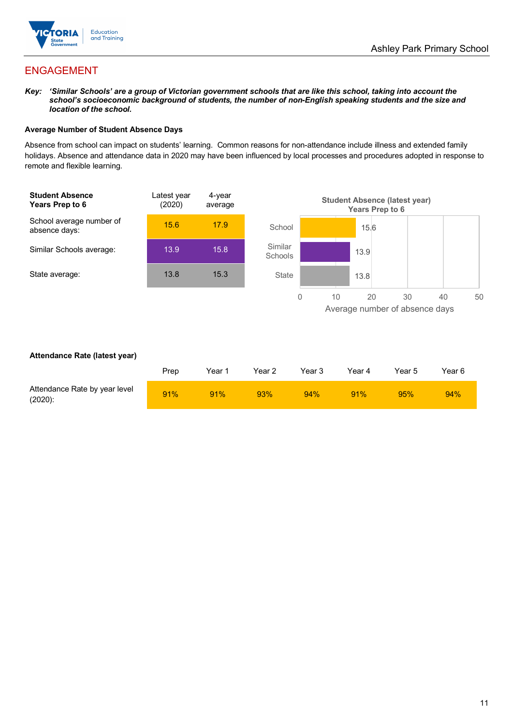

## ENGAGEMENT

*Key: 'Similar Schools' are a group of Victorian government schools that are like this school, taking into account the*  school's socioeconomic background of students, the number of non-English speaking students and the size and *location of the school.*

#### **Average Number of Student Absence Days**

Absence from school can impact on students' learning. Common reasons for non-attendance include illness and extended family holidays. Absence and attendance data in 2020 may have been influenced by local processes and procedures adopted in response to remote and flexible learning.



#### **Attendance Rate (latest year)**

|                                             | Prep | Year 1 | Year 2 | Year 3 | Year 4 | Year 5 | Year 6 |
|---------------------------------------------|------|--------|--------|--------|--------|--------|--------|
| Attendance Rate by year level<br>$(2020)$ : | 91%  | 91%    | 93%    | 94%    | 91%    | 95%    | 94%    |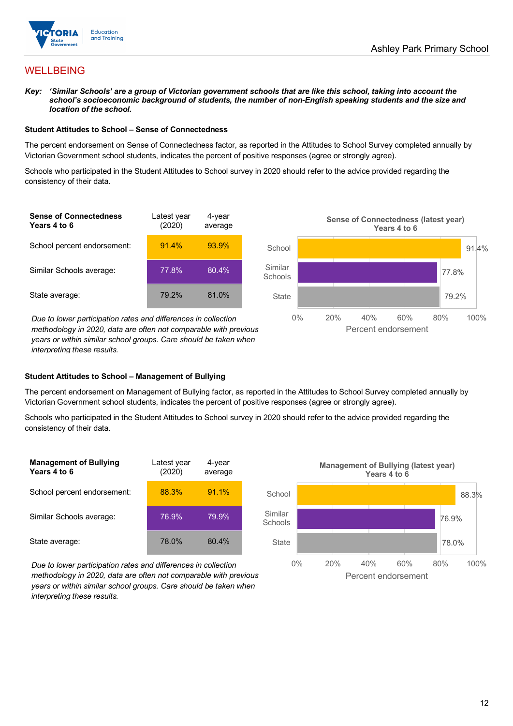

## **WELLBEING**

*Key: 'Similar Schools' are a group of Victorian government schools that are like this school, taking into account the*  school's socioeconomic background of students, the number of non-English speaking students and the size and *location of the school.*

#### **Student Attitudes to School – Sense of Connectedness**

The percent endorsement on Sense of Connectedness factor, as reported in the Attitudes to School Survey completed annually by Victorian Government school students, indicates the percent of positive responses (agree or strongly agree).

Schools who participated in the Student Attitudes to School survey in 2020 should refer to the advice provided regarding the consistency of their data.



*methodology in 2020, data are often not comparable with previous years or within similar school groups. Care should be taken when interpreting these results.*

#### **Student Attitudes to School – Management of Bullying**

The percent endorsement on Management of Bullying factor, as reported in the Attitudes to School Survey completed annually by Victorian Government school students, indicates the percent of positive responses (agree or strongly agree).

Schools who participated in the Student Attitudes to School survey in 2020 should refer to the advice provided regarding the consistency of their data.

| <b>Management of Bullying</b><br>Years 4 to 6 | Latest year<br>(2020) | 4-year<br>average |
|-----------------------------------------------|-----------------------|-------------------|
| School percent endorsement:                   | 88.3%                 | 91.1%             |
| Similar Schools average:                      | 76.9%                 | 79.9%             |
| State average:                                | 78.0%                 | 80.4%             |

*Due to lower participation rates and differences in collection methodology in 2020, data are often not comparable with previous years or within similar school groups. Care should be taken when interpreting these results.*

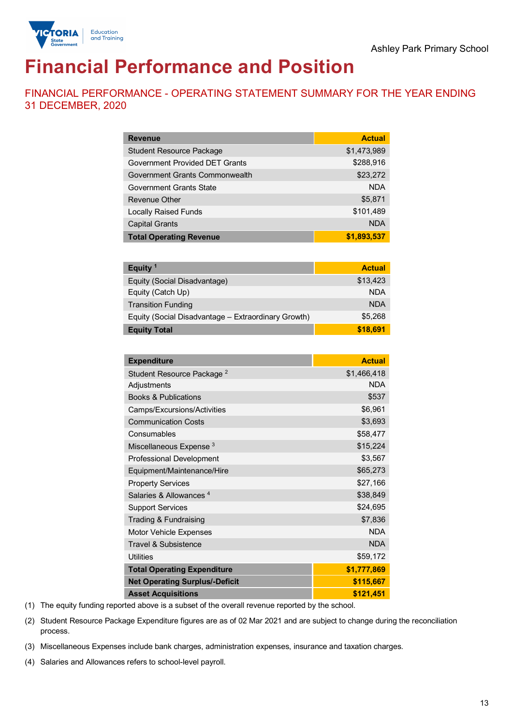

# **Financial Performance and Position**

FINANCIAL PERFORMANCE - OPERATING STATEMENT SUMMARY FOR THE YEAR ENDING 31 DECEMBER, 2020

| <b>Revenue</b>                  | <b>Actual</b> |
|---------------------------------|---------------|
| <b>Student Resource Package</b> | \$1,473,989   |
| Government Provided DET Grants  | \$288,916     |
| Government Grants Commonwealth  | \$23,272      |
| Government Grants State         | <b>NDA</b>    |
| Revenue Other                   | \$5,871       |
| <b>Locally Raised Funds</b>     | \$101,489     |
| <b>Capital Grants</b>           | <b>NDA</b>    |
| <b>Total Operating Revenue</b>  | \$1,893,537   |

| Equity <sup>1</sup>                                 | <b>Actual</b> |
|-----------------------------------------------------|---------------|
| Equity (Social Disadvantage)                        | \$13,423      |
| Equity (Catch Up)                                   | <b>NDA</b>    |
| <b>Transition Funding</b>                           | <b>NDA</b>    |
| Equity (Social Disadvantage - Extraordinary Growth) | \$5,268       |
| <b>Equity Total</b>                                 | \$18,691      |

| <b>Expenditure</b>                    | <b>Actual</b> |
|---------------------------------------|---------------|
| Student Resource Package <sup>2</sup> | \$1,466,418   |
| Adjustments                           | <b>NDA</b>    |
| <b>Books &amp; Publications</b>       | \$537         |
| Camps/Excursions/Activities           | \$6,961       |
| <b>Communication Costs</b>            | \$3,693       |
| Consumables                           | \$58,477      |
| Miscellaneous Expense <sup>3</sup>    | \$15,224      |
| <b>Professional Development</b>       | \$3,567       |
| Equipment/Maintenance/Hire            | \$65,273      |
| <b>Property Services</b>              | \$27,166      |
| Salaries & Allowances <sup>4</sup>    | \$38,849      |
| <b>Support Services</b>               | \$24,695      |
| Trading & Fundraising                 | \$7,836       |
| Motor Vehicle Expenses                | <b>NDA</b>    |
| Travel & Subsistence                  | <b>NDA</b>    |
| <b>Utilities</b>                      | \$59,172      |
| <b>Total Operating Expenditure</b>    | \$1,777,869   |
| <b>Net Operating Surplus/-Deficit</b> | \$115,667     |
| <b>Asset Acquisitions</b>             | \$121,451     |

(1) The equity funding reported above is a subset of the overall revenue reported by the school.

(2) Student Resource Package Expenditure figures are as of 02 Mar 2021 and are subject to change during the reconciliation process.

(3) Miscellaneous Expenses include bank charges, administration expenses, insurance and taxation charges.

(4) Salaries and Allowances refers to school-level payroll.